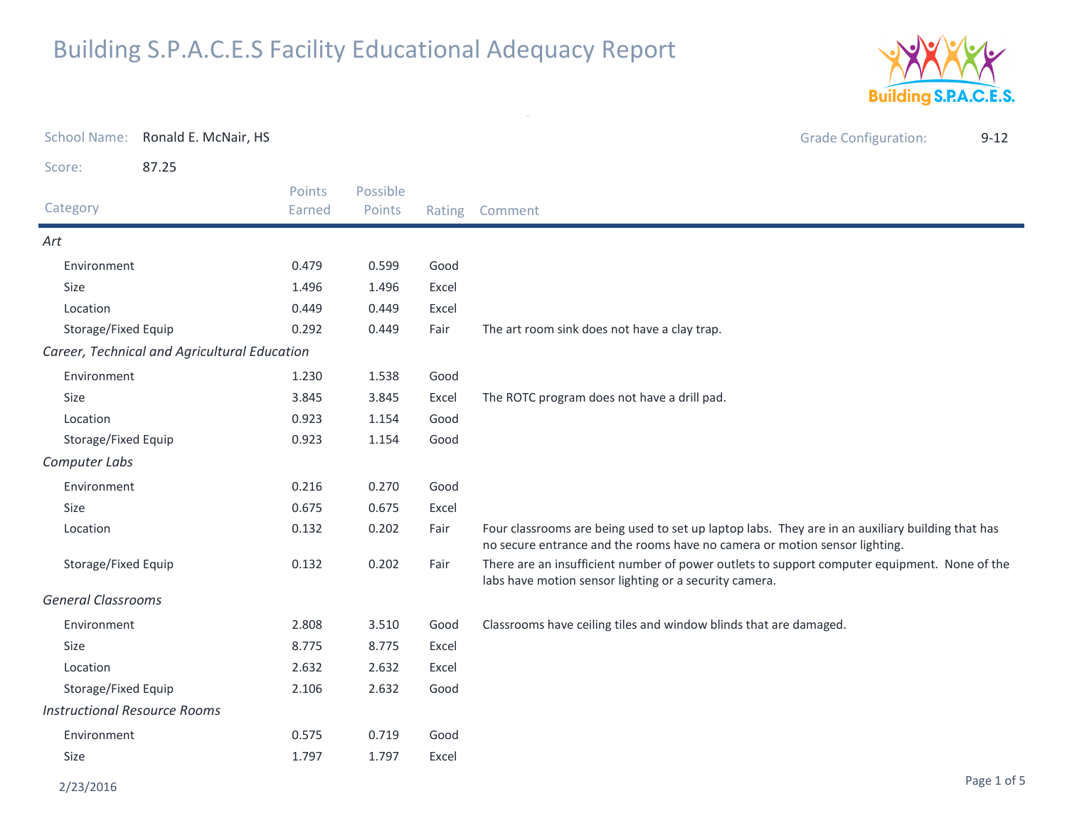

| <b>School Name:</b>                 | Ronald E. McNair, HS                         |                  |                    |       | <b>Grade Configuration:</b><br>$9 - 12$                                                                                                                                        |
|-------------------------------------|----------------------------------------------|------------------|--------------------|-------|--------------------------------------------------------------------------------------------------------------------------------------------------------------------------------|
| Score:                              | 87.25                                        |                  |                    |       |                                                                                                                                                                                |
| Category                            |                                              | Points<br>Earned | Possible<br>Points |       | Rating Comment                                                                                                                                                                 |
| Art                                 |                                              |                  |                    |       |                                                                                                                                                                                |
| Environment                         |                                              | 0.479            | 0.599              | Good  |                                                                                                                                                                                |
| Size                                |                                              | 1.496            | 1.496              | Excel |                                                                                                                                                                                |
| Location                            |                                              | 0.449            | 0.449              | Excel |                                                                                                                                                                                |
| Storage/Fixed Equip                 |                                              | 0.292            | 0.449              | Fair  | The art room sink does not have a clay trap.                                                                                                                                   |
|                                     | Career, Technical and Agricultural Education |                  |                    |       |                                                                                                                                                                                |
| Environment                         |                                              | 1.230            | 1.538              | Good  |                                                                                                                                                                                |
| Size                                |                                              | 3.845            | 3.845              | Excel | The ROTC program does not have a drill pad.                                                                                                                                    |
| Location                            |                                              | 0.923            | 1.154              | Good  |                                                                                                                                                                                |
| Storage/Fixed Equip                 |                                              | 0.923            | 1.154              | Good  |                                                                                                                                                                                |
| Computer Labs                       |                                              |                  |                    |       |                                                                                                                                                                                |
| Environment                         |                                              | 0.216            | 0.270              | Good  |                                                                                                                                                                                |
| Size                                |                                              | 0.675            | 0.675              | Excel |                                                                                                                                                                                |
| Location                            |                                              | 0.132            | 0.202              | Fair  | Four classrooms are being used to set up laptop labs. They are in an auxiliary building that has<br>no secure entrance and the rooms have no camera or motion sensor lighting. |
| Storage/Fixed Equip                 |                                              | 0.132            | 0.202              | Fair  | There are an insufficient number of power outlets to support computer equipment. None of the<br>labs have motion sensor lighting or a security camera.                         |
| <b>General Classrooms</b>           |                                              |                  |                    |       |                                                                                                                                                                                |
| Environment                         |                                              | 2.808            | 3.510              | Good  | Classrooms have ceiling tiles and window blinds that are damaged.                                                                                                              |
| <b>Size</b>                         |                                              | 8.775            | 8.775              | Excel |                                                                                                                                                                                |
| Location                            |                                              | 2.632            | 2.632              | Excel |                                                                                                                                                                                |
| Storage/Fixed Equip                 |                                              | 2.106            | 2.632              | Good  |                                                                                                                                                                                |
| <b>Instructional Resource Rooms</b> |                                              |                  |                    |       |                                                                                                                                                                                |
| Environment                         |                                              | 0.575            | 0.719              | Good  |                                                                                                                                                                                |
| Size                                |                                              | 1.797            | 1.797              | Excel |                                                                                                                                                                                |

 $\omega$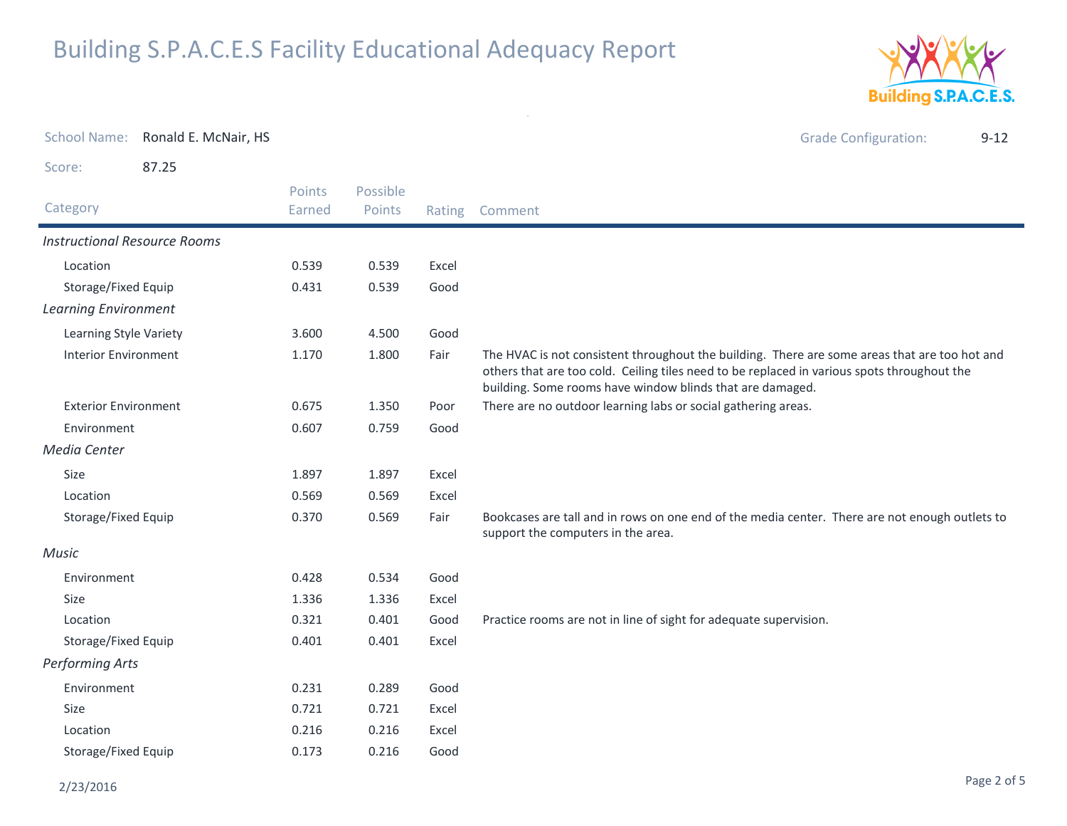0.173 0.216 Good



Grade Configuration: 9-12 Score: 87.25Category Rating Comment Possible PointsPoints EarnedInstructional Resource RoomsLocation 0.539 0.539 Excel Storage/Fixed Equip 0.431 0.539 Good Learning EnvironmentLearning Style Variety 3.600 4.500 GoodInterior Environment The HVAC is not consistent throughout the building. There are some areas that are too hot and others that are too cold. Ceiling tiles need to be replaced in various spots throughout the building. Some rooms have window blinds that are damaged.1.170 $1.800$ Exterior Environment 0.675 1.350 Poor There are no outdoor learning labs or social gathering areas. Environment 0.607 0.759 GoodMedia CenterSizee 1.897 1.897 Excel Location 0.569 0.569 Excel Storage/Fixed Equip Bookcases are tall and in rows on one end of the media center. There are not enough outlets to support the computers in the area.0.3700.569 MusicEnvironment 0.428 0.534 GoodSizee 1.336 1.336 Excel Location 0.321 0.401 Good Practice rooms are not in line of sight for adequate supervision. Storage/Fixed Equip 0.401 0.401 Excel Performing ArtsEnvironment 0.231 0.289 GoodSizee 0.721 0.721 Excel Location0.216 0.216 Excel

#### 2/23/2016

Storage/Fixed Equip

School Name:

Ronald E. McNair, HS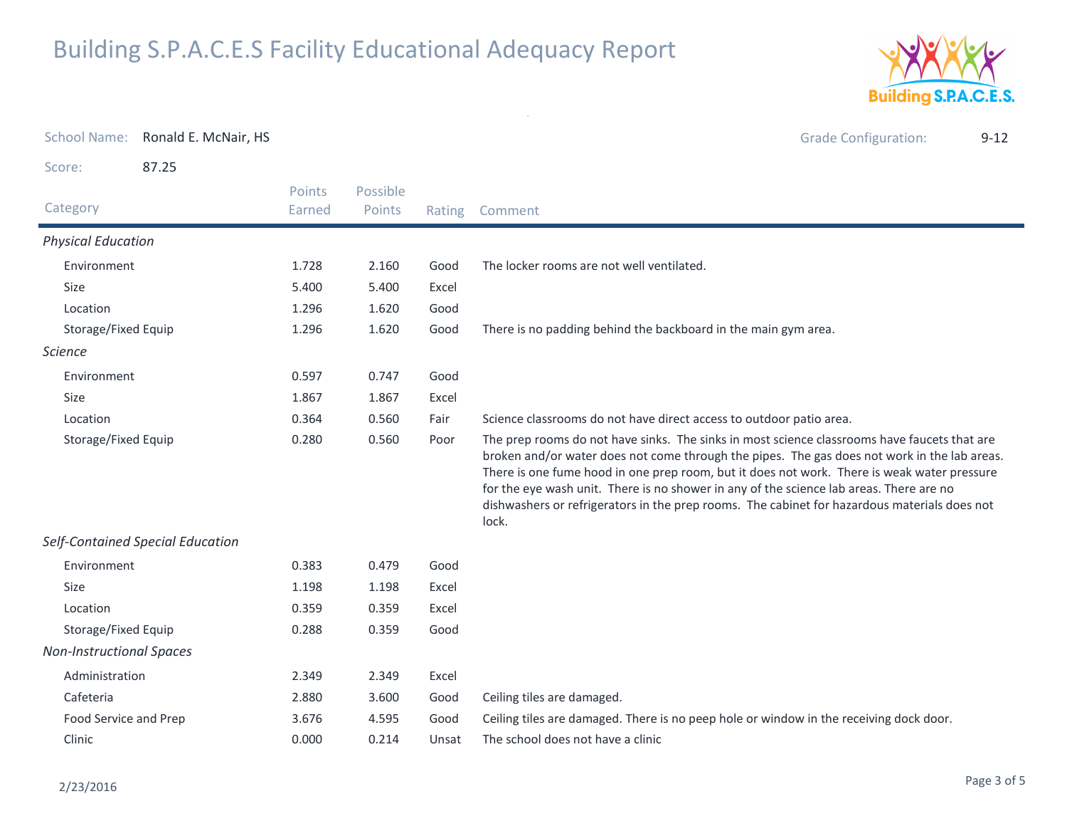

| <b>School Name:</b>             | Ronald E. McNair, HS             |                         |                    |        | <b>Grade Configuration:</b><br>$9 - 12$                                                                                                                                                                                                                                                                                                                                                                                                                                                         |  |  |
|---------------------------------|----------------------------------|-------------------------|--------------------|--------|-------------------------------------------------------------------------------------------------------------------------------------------------------------------------------------------------------------------------------------------------------------------------------------------------------------------------------------------------------------------------------------------------------------------------------------------------------------------------------------------------|--|--|
| Score:                          | 87.25                            |                         |                    |        |                                                                                                                                                                                                                                                                                                                                                                                                                                                                                                 |  |  |
| Category                        |                                  | <b>Points</b><br>Earned | Possible<br>Points | Rating | Comment                                                                                                                                                                                                                                                                                                                                                                                                                                                                                         |  |  |
| <b>Physical Education</b>       |                                  |                         |                    |        |                                                                                                                                                                                                                                                                                                                                                                                                                                                                                                 |  |  |
| Environment                     |                                  | 1.728                   | 2.160              | Good   | The locker rooms are not well ventilated.                                                                                                                                                                                                                                                                                                                                                                                                                                                       |  |  |
| Size                            |                                  | 5.400                   | 5.400              | Excel  |                                                                                                                                                                                                                                                                                                                                                                                                                                                                                                 |  |  |
| Location                        |                                  | 1.296                   | 1.620              | Good   |                                                                                                                                                                                                                                                                                                                                                                                                                                                                                                 |  |  |
| Storage/Fixed Equip             |                                  | 1.296                   | 1.620              | Good   | There is no padding behind the backboard in the main gym area.                                                                                                                                                                                                                                                                                                                                                                                                                                  |  |  |
| <b>Science</b>                  |                                  |                         |                    |        |                                                                                                                                                                                                                                                                                                                                                                                                                                                                                                 |  |  |
| Environment                     |                                  | 0.597                   | 0.747              | Good   |                                                                                                                                                                                                                                                                                                                                                                                                                                                                                                 |  |  |
| <b>Size</b>                     |                                  | 1.867                   | 1.867              | Excel  |                                                                                                                                                                                                                                                                                                                                                                                                                                                                                                 |  |  |
| Location                        |                                  |                         | 0.560              | Fair   | Science classrooms do not have direct access to outdoor patio area.                                                                                                                                                                                                                                                                                                                                                                                                                             |  |  |
| Storage/Fixed Equip             |                                  | 0.280                   | 0.560              | Poor   | The prep rooms do not have sinks. The sinks in most science classrooms have faucets that are<br>broken and/or water does not come through the pipes. The gas does not work in the lab areas.<br>There is one fume hood in one prep room, but it does not work. There is weak water pressure<br>for the eye wash unit. There is no shower in any of the science lab areas. There are no<br>dishwashers or refrigerators in the prep rooms. The cabinet for hazardous materials does not<br>lock. |  |  |
|                                 | Self-Contained Special Education |                         |                    |        |                                                                                                                                                                                                                                                                                                                                                                                                                                                                                                 |  |  |
| Environment                     |                                  | 0.383                   | 0.479              | Good   |                                                                                                                                                                                                                                                                                                                                                                                                                                                                                                 |  |  |
| <b>Size</b>                     |                                  | 1.198                   | 1.198              | Excel  |                                                                                                                                                                                                                                                                                                                                                                                                                                                                                                 |  |  |
| Location                        |                                  | 0.359                   | 0.359              | Excel  |                                                                                                                                                                                                                                                                                                                                                                                                                                                                                                 |  |  |
| Storage/Fixed Equip             |                                  | 0.288                   | 0.359              | Good   |                                                                                                                                                                                                                                                                                                                                                                                                                                                                                                 |  |  |
| <b>Non-Instructional Spaces</b> |                                  |                         |                    |        |                                                                                                                                                                                                                                                                                                                                                                                                                                                                                                 |  |  |
| Administration                  |                                  | 2.349                   | 2.349              | Excel  |                                                                                                                                                                                                                                                                                                                                                                                                                                                                                                 |  |  |
| Cafeteria                       |                                  | 2.880                   | 3.600              | Good   | Ceiling tiles are damaged.                                                                                                                                                                                                                                                                                                                                                                                                                                                                      |  |  |
| Food Service and Prep           |                                  | 3.676                   | 4.595              | Good   | Ceiling tiles are damaged. There is no peep hole or window in the receiving dock door.                                                                                                                                                                                                                                                                                                                                                                                                          |  |  |
| Clinic                          |                                  | 0.000                   | 0.214              | Unsat  | The school does not have a clinic                                                                                                                                                                                                                                                                                                                                                                                                                                                               |  |  |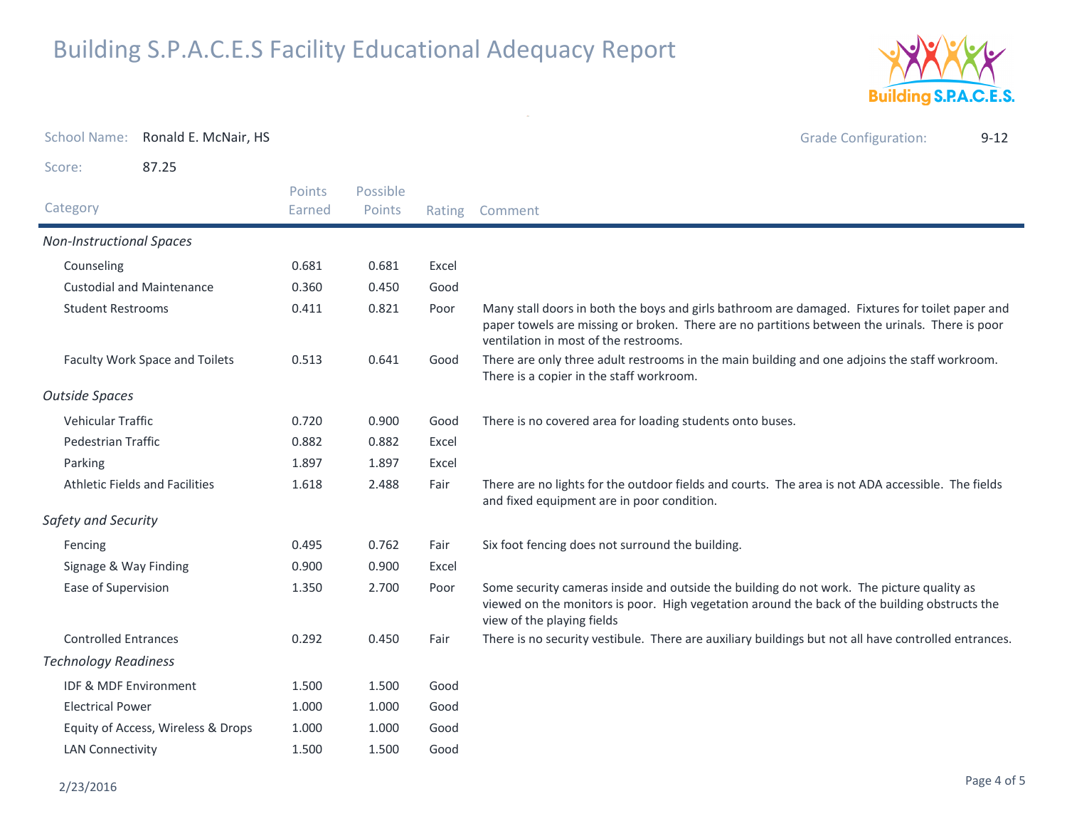

Grade Configuration: 9-12

School Name: Ronald E. McNair, HS

Score:87.25

|                                       | Points | Possible | Rating |                                                                                                                                                                                                                                            |  |  |
|---------------------------------------|--------|----------|--------|--------------------------------------------------------------------------------------------------------------------------------------------------------------------------------------------------------------------------------------------|--|--|
| Category                              | Earned | Points   |        | Comment                                                                                                                                                                                                                                    |  |  |
| <b>Non-Instructional Spaces</b>       |        |          |        |                                                                                                                                                                                                                                            |  |  |
| Counseling                            | 0.681  | 0.681    | Excel  |                                                                                                                                                                                                                                            |  |  |
| <b>Custodial and Maintenance</b>      | 0.360  | 0.450    | Good   |                                                                                                                                                                                                                                            |  |  |
| <b>Student Restrooms</b>              | 0.411  | 0.821    | Poor   | Many stall doors in both the boys and girls bathroom are damaged. Fixtures for toilet paper and<br>paper towels are missing or broken. There are no partitions between the urinals. There is poor<br>ventilation in most of the restrooms. |  |  |
| Faculty Work Space and Toilets        | 0.513  | 0.641    | Good   | There are only three adult restrooms in the main building and one adjoins the staff workroom.<br>There is a copier in the staff workroom.                                                                                                  |  |  |
| <b>Outside Spaces</b>                 |        |          |        |                                                                                                                                                                                                                                            |  |  |
| Vehicular Traffic                     | 0.720  | 0.900    | Good   | There is no covered area for loading students onto buses.                                                                                                                                                                                  |  |  |
| <b>Pedestrian Traffic</b>             | 0.882  | 0.882    | Excel  |                                                                                                                                                                                                                                            |  |  |
| Parking                               | 1.897  | 1.897    | Excel  |                                                                                                                                                                                                                                            |  |  |
| <b>Athletic Fields and Facilities</b> | 1.618  | 2.488    | Fair   | There are no lights for the outdoor fields and courts. The area is not ADA accessible. The fields<br>and fixed equipment are in poor condition.                                                                                            |  |  |
| Safety and Security                   |        |          |        |                                                                                                                                                                                                                                            |  |  |
| Fencing                               | 0.495  | 0.762    | Fair   | Six foot fencing does not surround the building.                                                                                                                                                                                           |  |  |
| Signage & Way Finding                 | 0.900  | 0.900    | Excel  |                                                                                                                                                                                                                                            |  |  |
| Ease of Supervision                   | 1.350  | 2.700    | Poor   | Some security cameras inside and outside the building do not work. The picture quality as<br>viewed on the monitors is poor. High vegetation around the back of the building obstructs the<br>view of the playing fields                   |  |  |
| <b>Controlled Entrances</b>           | 0.292  | 0.450    | Fair   | There is no security vestibule. There are auxiliary buildings but not all have controlled entrances.                                                                                                                                       |  |  |
| <b>Technology Readiness</b>           |        |          |        |                                                                                                                                                                                                                                            |  |  |
| <b>IDF &amp; MDF Environment</b>      | 1.500  | 1.500    | Good   |                                                                                                                                                                                                                                            |  |  |
| <b>Electrical Power</b>               | 1.000  | 1.000    | Good   |                                                                                                                                                                                                                                            |  |  |
| Equity of Access, Wireless & Drops    | 1.000  | 1.000    | Good   |                                                                                                                                                                                                                                            |  |  |
| <b>LAN Connectivity</b>               | 1.500  | 1.500    | Good   |                                                                                                                                                                                                                                            |  |  |

 $\omega$